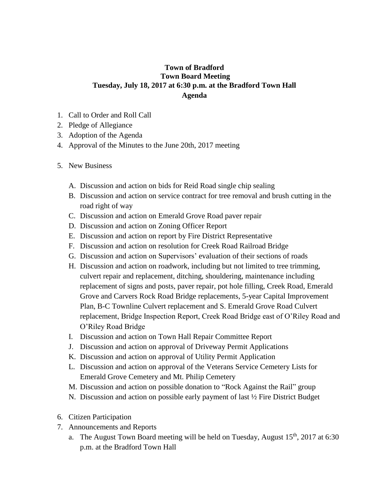## **Town of Bradford Town Board Meeting Tuesday, July 18, 2017 at 6:30 p.m. at the Bradford Town Hall Agenda**

- 1. Call to Order and Roll Call
- 2. Pledge of Allegiance
- 3. Adoption of the Agenda
- 4. Approval of the Minutes to the June 20th, 2017 meeting
- 5. New Business
	- A. Discussion and action on bids for Reid Road single chip sealing
	- B. Discussion and action on service contract for tree removal and brush cutting in the road right of way
	- C. Discussion and action on Emerald Grove Road paver repair
	- D. Discussion and action on Zoning Officer Report
	- E. Discussion and action on report by Fire District Representative
	- F. Discussion and action on resolution for Creek Road Railroad Bridge
	- G. Discussion and action on Supervisors' evaluation of their sections of roads
	- H. Discussion and action on roadwork, including but not limited to tree trimming, culvert repair and replacement, ditching, shouldering, maintenance including replacement of signs and posts, paver repair, pot hole filling, Creek Road, Emerald Grove and Carvers Rock Road Bridge replacements, 5-year Capital Improvement Plan, B-C Townline Culvert replacement and S. Emerald Grove Road Culvert replacement, Bridge Inspection Report, Creek Road Bridge east of O'Riley Road and O'Riley Road Bridge
	- I. Discussion and action on Town Hall Repair Committee Report
	- J. Discussion and action on approval of Driveway Permit Applications
	- K. Discussion and action on approval of Utility Permit Application
	- L. Discussion and action on approval of the Veterans Service Cemetery Lists for Emerald Grove Cemetery and Mt. Philip Cemetery
	- M. Discussion and action on possible donation to "Rock Against the Rail" group
	- N. Discussion and action on possible early payment of last ½ Fire District Budget
- 6. Citizen Participation
- 7. Announcements and Reports
	- a. The August Town Board meeting will be held on Tuesday, August  $15<sup>th</sup>$ , 2017 at 6:30 p.m. at the Bradford Town Hall